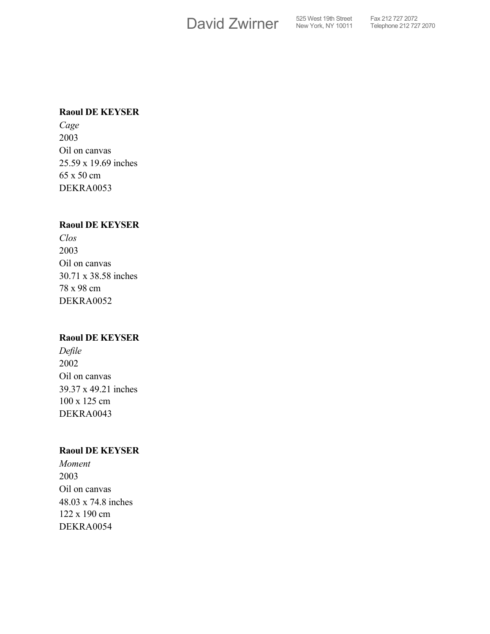David Zwirner S25 West 19th Street

#### **Raoul DE KEYSER**

*Cage* 2003 Oil on canvas 25.59 x 19.69 inches 65 x 50 cm DEKRA0053

## **Raoul DE KEYSER**

*Clos* 2003 Oil on canvas 30.71 x 38.58 inches 78 x 98 cm DEKRA0052

#### **Raoul DE KEYSER**

*Defile* 2002 Oil on canvas 39.37 x 49.21 inches 100 x 125 cm DEKRA0043

#### **Raoul DE KEYSER**

*Moment* 2003 Oil on canvas 48.03 x 74.8 inches 122 x 190 cm DEKRA0054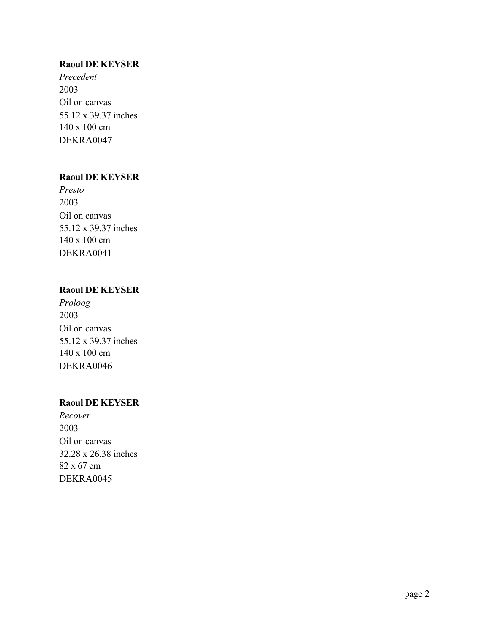## **Raoul DE KEYSER**

*Precedent* 2003 Oil on canvas 55.12 x 39.37 inches 140 x 100 cm DEKRA0047

## **Raoul DE KEYSER**

*Presto* 2003 Oil on canvas 55.12 x 39.37 inches 140 x 100 cm DEKRA0041

## **Raoul DE KEYSER**

*Proloog* 2003 Oil on canvas 55.12 x 39.37 inches 140 x 100 cm DEKRA0046

## **Raoul DE KEYSER**

*Recover* 2003 Oil on canvas 32.28 x 26.38 inches 82 x 67 cm DEKRA0045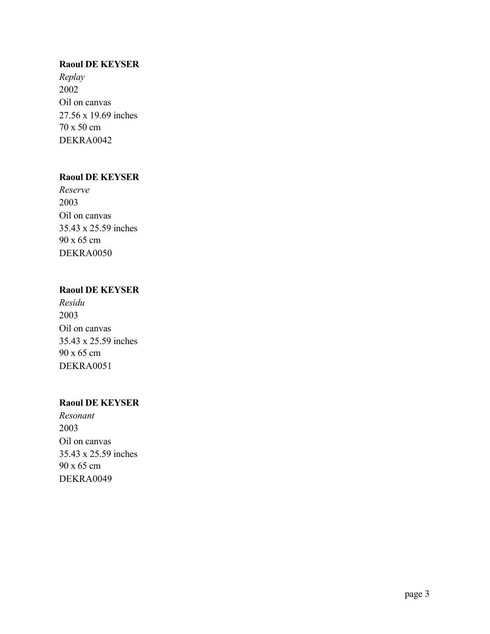#### **Raoul DE KEYSER**

*Replay* 2002 Oil on canvas 27.56 x 19.69 inches 70 x 50 cm DEKRA0042

# **Raoul DE KEYSER**

*Reserve* 2003 Oil on canvas 35.43 x 25.59 inches 90 x 65 cm DEKRA0050

## **Raoul DE KEYSER**

*Residu* 2003 Oil on canvas 35.43 x 25.59 inches 90 x 65 cm DEKRA0051

## **Raoul DE KEYSER**

*Resonant* 2003 Oil on canvas 35.43 x 25.59 inches 90 x 65 cm DEKRA0049